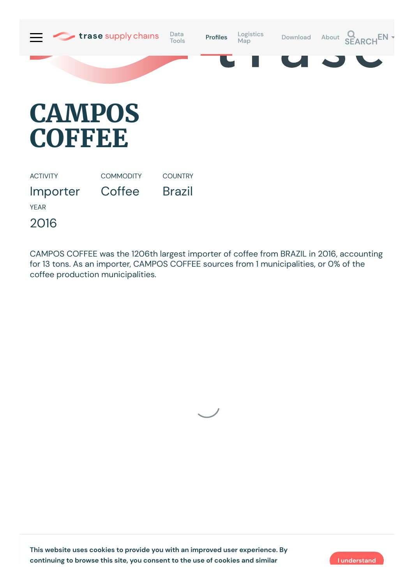

## **CAMPOS COFFEE**

ACTIVITY Importer **COMMODITY Coffee COUNTRY** Brazil YEAR

2016

CAMPOS COFFEE was the 1206th largest importer of coffee from BRAZIL in 2016, accounting for 13 tons. As an importer, CAMPOS COFFEE sources from 1 municipalities, or 0% of the coffee production municipalities.



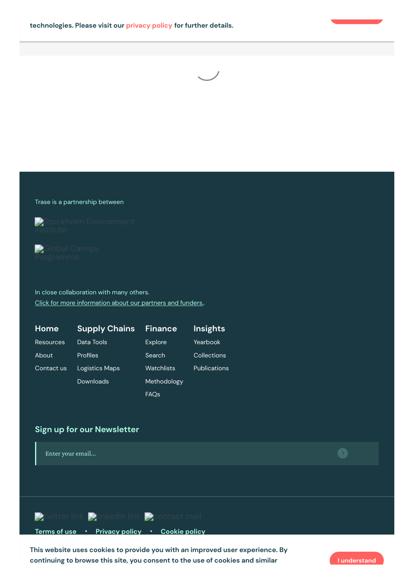



## Trase is a partnership between



Stockholm [Environment](https://sei-international.org/)



In close collaboration with many others. Click for more [information](https://www.trase.earth/about/) about our partners and funders..

| Home             | <b>Supply Chains</b>  | <b>Finance</b> | <b>Insights</b>     |
|------------------|-----------------------|----------------|---------------------|
| <b>Resources</b> | Data Tools            | <b>Explore</b> | Yearbook            |
| About            | Profiles              | Search         | Collections         |
| Contact us       | <b>Logistics Maps</b> | Watchlists     | <b>Publications</b> |
|                  | Downloads             | Methodology    |                     |
|                  |                       | <b>FAQs</b>    |                     |

## **Sign up for our Newsletter**



Gordon and Betty Moore [Foundation](https://www.moore.org/) **This website uses cookies to provide you with an improved user experience. By continuing to browse this site, you consent to the use of cookies and similar I understand**